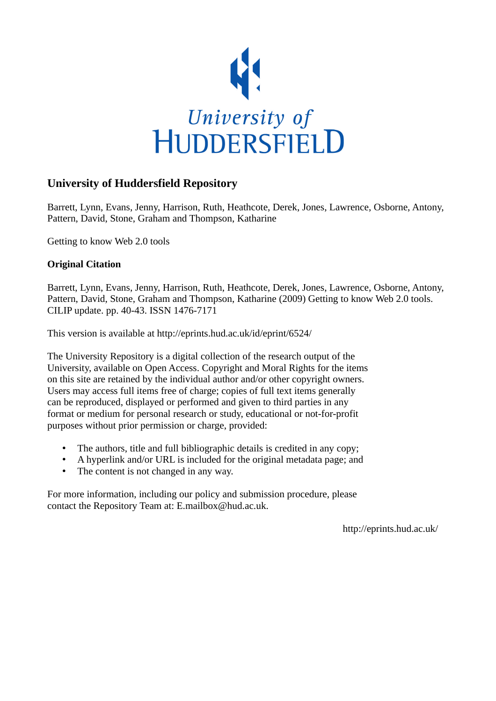

# **University of Huddersfield Repository**

Barrett, Lynn, Evans, Jenny, Harrison, Ruth, Heathcote, Derek, Jones, Lawrence, Osborne, Antony, Pattern, David, Stone, Graham and Thompson, Katharine

Getting to know Web 2.0 tools

# **Original Citation**

Barrett, Lynn, Evans, Jenny, Harrison, Ruth, Heathcote, Derek, Jones, Lawrence, Osborne, Antony, Pattern, David, Stone, Graham and Thompson, Katharine (2009) Getting to know Web 2.0 tools. CILIP update. pp. 40-43. ISSN 1476-7171

This version is available at http://eprints.hud.ac.uk/id/eprint/6524/

The University Repository is a digital collection of the research output of the University, available on Open Access. Copyright and Moral Rights for the items on this site are retained by the individual author and/or other copyright owners. Users may access full items free of charge; copies of full text items generally can be reproduced, displayed or performed and given to third parties in any format or medium for personal research or study, educational or not-for-profit purposes without prior permission or charge, provided:

- The authors, title and full bibliographic details is credited in any copy;
- A hyperlink and/or URL is included for the original metadata page; and
- The content is not changed in any way.

For more information, including our policy and submission procedure, please contact the Repository Team at: E.mailbox@hud.ac.uk.

http://eprints.hud.ac.uk/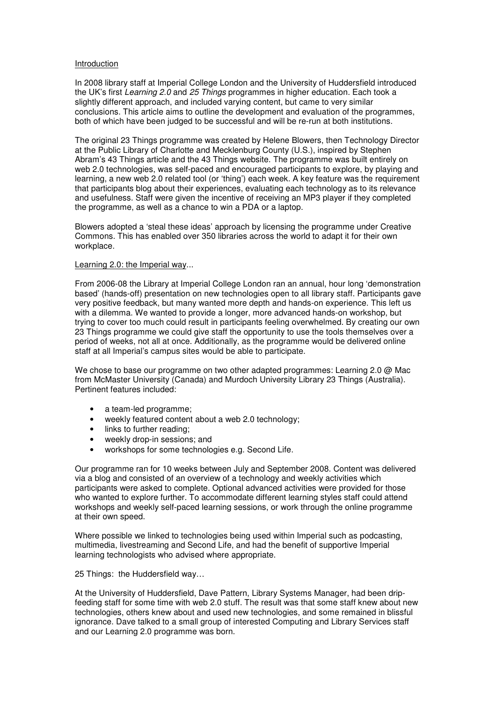### Introduction

In 2008 library staff at Imperial College London and the University of Huddersfield introduced the UK's first Learning 2.0 and 25 Things programmes in higher education. Each took a slightly different approach, and included varying content, but came to very similar conclusions. This article aims to outline the development and evaluation of the programmes, both of which have been judged to be successful and will be re-run at both institutions.

The original 23 Things programme was created by Helene Blowers, then Technology Director at the Public Library of Charlotte and Mecklenburg County (U.S.), inspired by Stephen Abram's 43 Things article and the 43 Things website. The programme was built entirely on web 2.0 technologies, was self-paced and encouraged participants to explore, by playing and learning, a new web 2.0 related tool (or 'thing') each week. A key feature was the requirement that participants blog about their experiences, evaluating each technology as to its relevance and usefulness. Staff were given the incentive of receiving an MP3 player if they completed the programme, as well as a chance to win a PDA or a laptop.

Blowers adopted a 'steal these ideas' approach by licensing the programme under Creative Commons. This has enabled over 350 libraries across the world to adapt it for their own workplace.

### Learning 2.0: the Imperial way...

From 2006-08 the Library at Imperial College London ran an annual, hour long 'demonstration based' (hands-off) presentation on new technologies open to all library staff. Participants gave very positive feedback, but many wanted more depth and hands-on experience. This left us with a dilemma. We wanted to provide a longer, more advanced hands-on workshop, but trying to cover too much could result in participants feeling overwhelmed. By creating our own 23 Things programme we could give staff the opportunity to use the tools themselves over a period of weeks, not all at once. Additionally, as the programme would be delivered online staff at all Imperial's campus sites would be able to participate.

We chose to base our programme on two other adapted programmes: Learning 2.0 @ Mac from McMaster University (Canada) and Murdoch University Library 23 Things (Australia). Pertinent features included:

- a team-led programme;
- weekly featured content about a web 2.0 technology;
- links to further reading:
- weekly drop-in sessions; and
- workshops for some technologies e.g. Second Life.

Our programme ran for 10 weeks between July and September 2008. Content was delivered via a blog and consisted of an overview of a technology and weekly activities which participants were asked to complete. Optional advanced activities were provided for those who wanted to explore further. To accommodate different learning styles staff could attend workshops and weekly self-paced learning sessions, or work through the online programme at their own speed.

Where possible we linked to technologies being used within Imperial such as podcasting, multimedia, livestreaming and Second Life, and had the benefit of supportive Imperial learning technologists who advised where appropriate.

### 25 Things: the Huddersfield way…

At the University of Huddersfield, Dave Pattern, Library Systems Manager, had been dripfeeding staff for some time with web 2.0 stuff. The result was that some staff knew about new technologies, others knew about and used new technologies, and some remained in blissful ignorance. Dave talked to a small group of interested Computing and Library Services staff and our Learning 2.0 programme was born.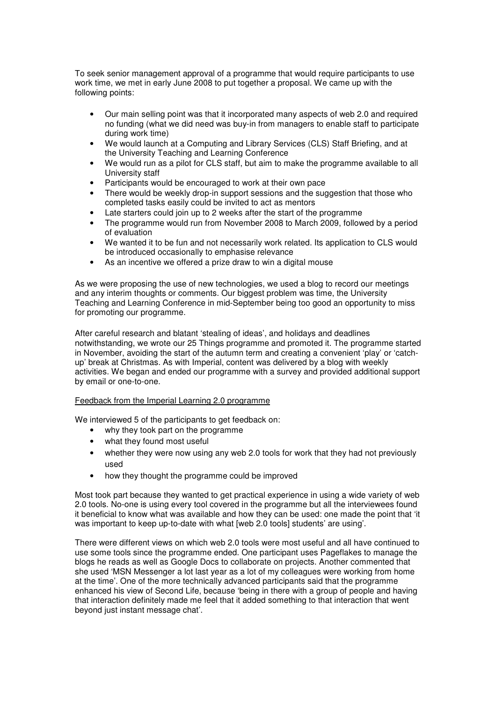To seek senior management approval of a programme that would require participants to use work time, we met in early June 2008 to put together a proposal. We came up with the following points:

- Our main selling point was that it incorporated many aspects of web 2.0 and required no funding (what we did need was buy-in from managers to enable staff to participate during work time)
- We would launch at a Computing and Library Services (CLS) Staff Briefing, and at the University Teaching and Learning Conference
- We would run as a pilot for CLS staff, but aim to make the programme available to all University staff
- Participants would be encouraged to work at their own pace
- There would be weekly drop-in support sessions and the suggestion that those who completed tasks easily could be invited to act as mentors
- Late starters could join up to 2 weeks after the start of the programme
- The programme would run from November 2008 to March 2009, followed by a period of evaluation
- We wanted it to be fun and not necessarily work related. Its application to CLS would be introduced occasionally to emphasise relevance
- As an incentive we offered a prize draw to win a digital mouse

As we were proposing the use of new technologies, we used a blog to record our meetings and any interim thoughts or comments. Our biggest problem was time, the University Teaching and Learning Conference in mid-September being too good an opportunity to miss for promoting our programme.

After careful research and blatant 'stealing of ideas', and holidays and deadlines notwithstanding, we wrote our 25 Things programme and promoted it. The programme started in November, avoiding the start of the autumn term and creating a convenient 'play' or 'catchup' break at Christmas. As with Imperial, content was delivered by a blog with weekly activities. We began and ended our programme with a survey and provided additional support by email or one-to-one.

### Feedback from the Imperial Learning 2.0 programme

We interviewed 5 of the participants to get feedback on:

- why they took part on the programme
- what they found most useful
- whether they were now using any web 2.0 tools for work that they had not previously used
- how they thought the programme could be improved

Most took part because they wanted to get practical experience in using a wide variety of web 2.0 tools. No-one is using every tool covered in the programme but all the interviewees found it beneficial to know what was available and how they can be used: one made the point that 'it was important to keep up-to-date with what [web 2.0 tools] students' are using'.

There were different views on which web 2.0 tools were most useful and all have continued to use some tools since the programme ended. One participant uses Pageflakes to manage the blogs he reads as well as Google Docs to collaborate on projects. Another commented that she used 'MSN Messenger a lot last year as a lot of my colleagues were working from home at the time'. One of the more technically advanced participants said that the programme enhanced his view of Second Life, because 'being in there with a group of people and having that interaction definitely made me feel that it added something to that interaction that went beyond just instant message chat'.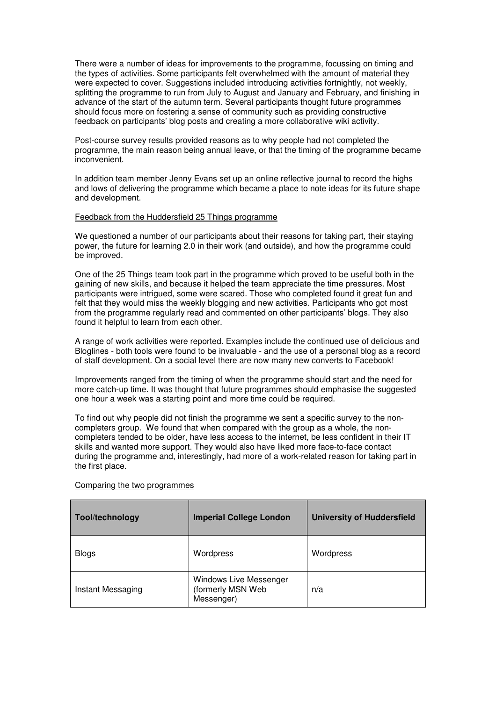There were a number of ideas for improvements to the programme, focussing on timing and the types of activities. Some participants felt overwhelmed with the amount of material they were expected to cover. Suggestions included introducing activities fortnightly, not weekly, splitting the programme to run from July to August and January and February, and finishing in advance of the start of the autumn term. Several participants thought future programmes should focus more on fostering a sense of community such as providing constructive feedback on participants' blog posts and creating a more collaborative wiki activity.

Post-course survey results provided reasons as to why people had not completed the programme, the main reason being annual leave, or that the timing of the programme became inconvenient.

In addition team member Jenny Evans set up an online reflective journal to record the highs and lows of delivering the programme which became a place to note ideas for its future shape and development.

### Feedback from the Huddersfield 25 Things programme

We questioned a number of our participants about their reasons for taking part, their staying power, the future for learning 2.0 in their work (and outside), and how the programme could be improved.

One of the 25 Things team took part in the programme which proved to be useful both in the gaining of new skills, and because it helped the team appreciate the time pressures. Most participants were intrigued, some were scared. Those who completed found it great fun and felt that they would miss the weekly blogging and new activities. Participants who got most from the programme regularly read and commented on other participants' blogs. They also found it helpful to learn from each other.

A range of work activities were reported. Examples include the continued use of delicious and Bloglines - both tools were found to be invaluable - and the use of a personal blog as a record of staff development. On a social level there are now many new converts to Facebook!

Improvements ranged from the timing of when the programme should start and the need for more catch-up time. It was thought that future programmes should emphasise the suggested one hour a week was a starting point and more time could be required.

To find out why people did not finish the programme we sent a specific survey to the noncompleters group. We found that when compared with the group as a whole, the noncompleters tended to be older, have less access to the internet, be less confident in their IT skills and wanted more support. They would also have liked more face-to-face contact during the programme and, interestingly, had more of a work-related reason for taking part in the first place.

| <b>Tool/technology</b> | <b>Imperial College London</b>                            | <b>University of Huddersfield</b> |
|------------------------|-----------------------------------------------------------|-----------------------------------|
| <b>Blogs</b>           | Wordpress                                                 | Wordpress                         |
| Instant Messaging      | Windows Live Messenger<br>(formerly MSN Web<br>Messenger) | n/a                               |

#### Comparing the two programmes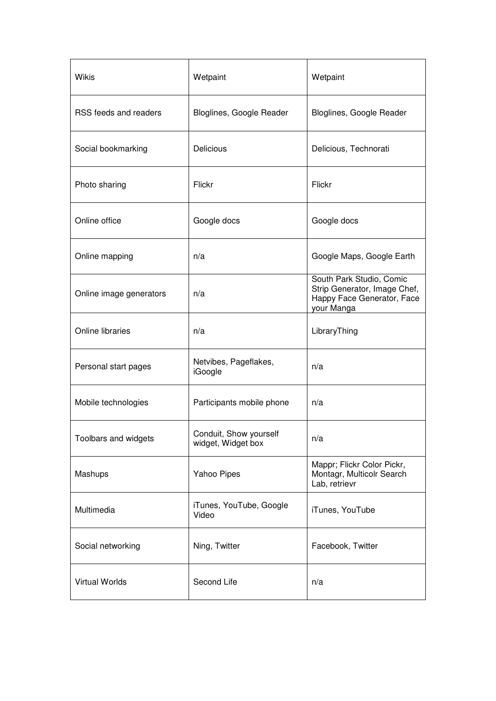| Wikis                   | Wetpaint                                     | Wetpaint                                                                                             |
|-------------------------|----------------------------------------------|------------------------------------------------------------------------------------------------------|
| RSS feeds and readers   | Bloglines, Google Reader                     | Bloglines, Google Reader                                                                             |
| Social bookmarking      | <b>Delicious</b>                             | Delicious, Technorati                                                                                |
| Photo sharing           | Flickr                                       | Flickr                                                                                               |
| Online office           | Google docs                                  | Google docs                                                                                          |
| Online mapping          | n/a                                          | Google Maps, Google Earth                                                                            |
| Online image generators | n/a                                          | South Park Studio, Comic<br>Strip Generator, Image Chef,<br>Happy Face Generator, Face<br>your Manga |
| Online libraries        | n/a                                          | LibraryThing                                                                                         |
| Personal start pages    | Netvibes, Pageflakes,<br>iGoogle             | n/a                                                                                                  |
| Mobile technologies     | Participants mobile phone                    | n/a                                                                                                  |
| Toolbars and widgets    | Conduit, Show yourself<br>widget, Widget box | n/a                                                                                                  |
| Mashups                 | Yahoo Pipes                                  | Mappr; Flickr Color Pickr,<br>Montagr, Multicolr Search<br>Lab, retrievr                             |
| Multimedia              | iTunes, YouTube, Google<br>Video             | iTunes, YouTube                                                                                      |
| Social networking       | Ning, Twitter                                | Facebook, Twitter                                                                                    |
| <b>Virtual Worlds</b>   | Second Life                                  | n/a                                                                                                  |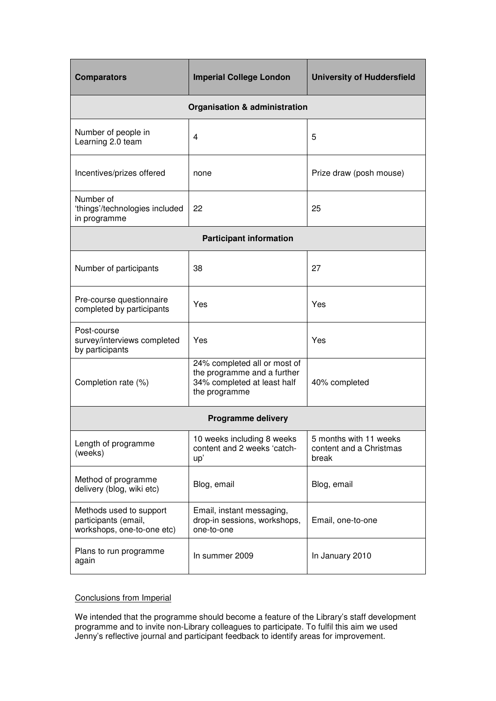| <b>Comparators</b>                                                            | <b>Imperial College London</b>                                                                              | <b>University of Huddersfield</b>                          |  |  |
|-------------------------------------------------------------------------------|-------------------------------------------------------------------------------------------------------------|------------------------------------------------------------|--|--|
| Organisation & administration                                                 |                                                                                                             |                                                            |  |  |
| Number of people in<br>Learning 2.0 team                                      | 4                                                                                                           | 5                                                          |  |  |
| Incentives/prizes offered                                                     | none                                                                                                        | Prize draw (posh mouse)                                    |  |  |
| Number of<br>'things'/technologies included<br>in programme                   | 22                                                                                                          | 25                                                         |  |  |
| <b>Participant information</b>                                                |                                                                                                             |                                                            |  |  |
| Number of participants                                                        | 38                                                                                                          | 27                                                         |  |  |
| Pre-course questionnaire<br>completed by participants                         | Yes                                                                                                         | Yes                                                        |  |  |
| Post-course<br>survey/interviews completed<br>by participants                 | Yes                                                                                                         | Yes                                                        |  |  |
| Completion rate (%)                                                           | 24% completed all or most of<br>the programme and a further<br>34% completed at least half<br>the programme | 40% completed                                              |  |  |
| <b>Programme delivery</b>                                                     |                                                                                                             |                                                            |  |  |
| Length of programme<br>(weeks)                                                | 10 weeks including 8 weeks<br>content and 2 weeks 'catch-<br>up'                                            | 5 months with 11 weeks<br>content and a Christmas<br>break |  |  |
| Method of programme<br>delivery (blog, wiki etc)                              | Blog, email                                                                                                 | Blog, email                                                |  |  |
| Methods used to support<br>participants (email,<br>workshops, one-to-one etc) | Email, instant messaging,<br>drop-in sessions, workshops,<br>one-to-one                                     | Email, one-to-one                                          |  |  |
| Plans to run programme<br>again                                               | In summer 2009                                                                                              | In January 2010                                            |  |  |

# Conclusions from Imperial

We intended that the programme should become a feature of the Library's staff development programme and to invite non-Library colleagues to participate. To fulfil this aim we used Jenny's reflective journal and participant feedback to identify areas for improvement.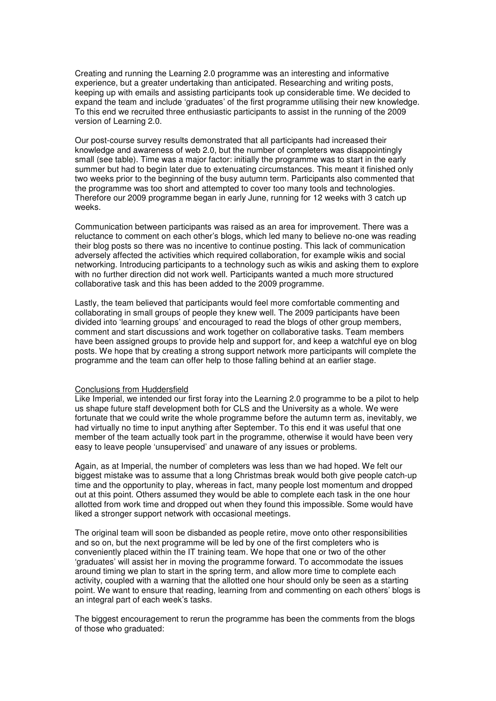Creating and running the Learning 2.0 programme was an interesting and informative experience, but a greater undertaking than anticipated. Researching and writing posts, keeping up with emails and assisting participants took up considerable time. We decided to expand the team and include 'graduates' of the first programme utilising their new knowledge. To this end we recruited three enthusiastic participants to assist in the running of the 2009 version of Learning 2.0.

Our post-course survey results demonstrated that all participants had increased their knowledge and awareness of web 2.0, but the number of completers was disappointingly small (see table). Time was a major factor: initially the programme was to start in the early summer but had to begin later due to extenuating circumstances. This meant it finished only two weeks prior to the beginning of the busy autumn term. Participants also commented that the programme was too short and attempted to cover too many tools and technologies. Therefore our 2009 programme began in early June, running for 12 weeks with 3 catch up weeks.

Communication between participants was raised as an area for improvement. There was a reluctance to comment on each other's blogs, which led many to believe no-one was reading their blog posts so there was no incentive to continue posting. This lack of communication adversely affected the activities which required collaboration, for example wikis and social networking. Introducing participants to a technology such as wikis and asking them to explore with no further direction did not work well. Participants wanted a much more structured collaborative task and this has been added to the 2009 programme.

Lastly, the team believed that participants would feel more comfortable commenting and collaborating in small groups of people they knew well. The 2009 participants have been divided into 'learning groups' and encouraged to read the blogs of other group members, comment and start discussions and work together on collaborative tasks. Team members have been assigned groups to provide help and support for, and keep a watchful eye on blog posts. We hope that by creating a strong support network more participants will complete the programme and the team can offer help to those falling behind at an earlier stage.

#### Conclusions from Huddersfield

Like Imperial, we intended our first foray into the Learning 2.0 programme to be a pilot to help us shape future staff development both for CLS and the University as a whole. We were fortunate that we could write the whole programme before the autumn term as, inevitably, we had virtually no time to input anything after September. To this end it was useful that one member of the team actually took part in the programme, otherwise it would have been very easy to leave people 'unsupervised' and unaware of any issues or problems.

Again, as at Imperial, the number of completers was less than we had hoped. We felt our biggest mistake was to assume that a long Christmas break would both give people catch-up time and the opportunity to play, whereas in fact, many people lost momentum and dropped out at this point. Others assumed they would be able to complete each task in the one hour allotted from work time and dropped out when they found this impossible. Some would have liked a stronger support network with occasional meetings.

The original team will soon be disbanded as people retire, move onto other responsibilities and so on, but the next programme will be led by one of the first completers who is conveniently placed within the IT training team. We hope that one or two of the other 'graduates' will assist her in moving the programme forward. To accommodate the issues around timing we plan to start in the spring term, and allow more time to complete each activity, coupled with a warning that the allotted one hour should only be seen as a starting point. We want to ensure that reading, learning from and commenting on each others' blogs is an integral part of each week's tasks.

The biggest encouragement to rerun the programme has been the comments from the blogs of those who graduated: